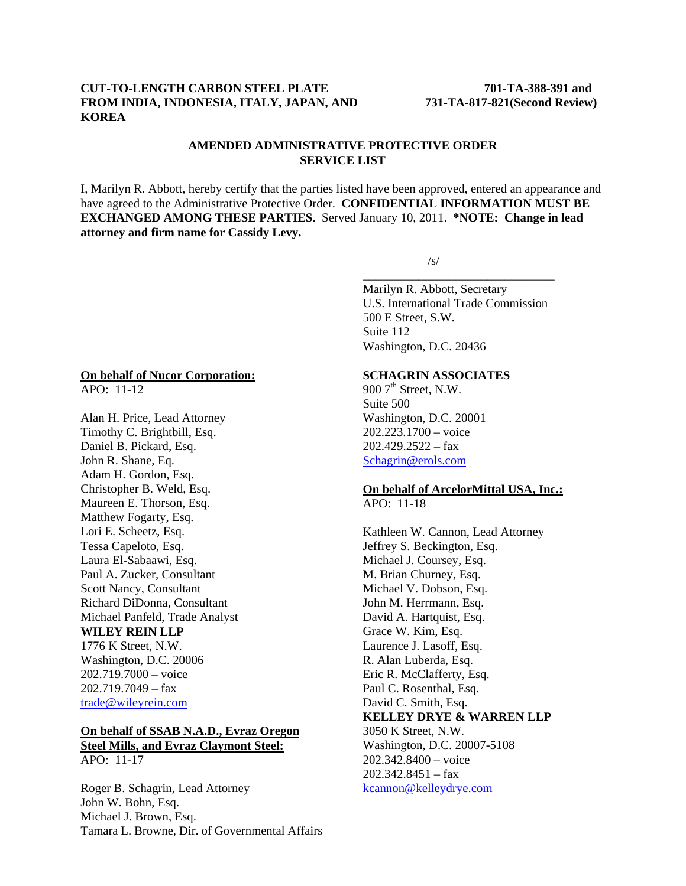## **CUT-TO-LENGTH CARBON STEEL PLATE 701-TA-388-391 and FROM INDIA, INDONESIA, ITALY, JAPAN, AND 731-TA-817-821(Second Review) KOREA**

## **AMENDED ADMINISTRATIVE PROTECTIVE ORDER SERVICE LIST**

I, Marilyn R. Abbott, hereby certify that the parties listed have been approved, entered an appearance and have agreed to the Administrative Protective Order. **CONFIDENTIAL INFORMATION MUST BE EXCHANGED AMONG THESE PARTIES**. Served January 10, 2011. **\*NOTE: Change in lead attorney and firm name for Cassidy Levy.**

 $\overline{\phantom{a}}$  , and the contract of the contract of the contract of the contract of the contract of the contract of the contract of the contract of the contract of the contract of the contract of the contract of the contrac

 $\sqrt{s}$ /s/

Marilyn R. Abbott, Secretary U.S. International Trade Commission 500 E Street, S.W. Suite 112 Washington, D.C. 20436

## **SCHAGRIN ASSOCIATES**

900  $7<sup>th</sup>$  Street, N.W. Suite 500 Washington, D.C. 20001 202.223.1700 – voice 202.429.2522 – fax Schagrin@erols.com

### **On behalf of ArcelorMittal USA, Inc.:** APO: 11-18

Kathleen W. Cannon, Lead Attorney Jeffrey S. Beckington, Esq. Michael J. Coursey, Esq. M. Brian Churney, Esq. Michael V. Dobson, Esq. John M. Herrmann, Esq. David A. Hartquist, Esq. Grace W. Kim, Esq. Laurence J. Lasoff, Esq. R. Alan Luberda, Esq. Eric R. McClafferty, Esq. Paul C. Rosenthal, Esq. David C. Smith, Esq. **KELLEY DRYE & WARREN LLP** 3050 K Street, N.W. Washington, D.C. 20007-5108 202.342.8400 – voice 202.342.8451 – fax kcannon@kelleydrye.com

### **On behalf of Nucor Corporation:**

APO: 11-12

Alan H. Price, Lead Attorney Timothy C. Brightbill, Esq. Daniel B. Pickard, Esq. John R. Shane, Eq. Adam H. Gordon, Esq. Christopher B. Weld, Esq. Maureen E. Thorson, Esq. Matthew Fogarty, Esq. Lori E. Scheetz, Esq. Tessa Capeloto, Esq. Laura El-Sabaawi, Esq. Paul A. Zucker, Consultant Scott Nancy, Consultant Richard DiDonna, Consultant Michael Panfeld, Trade Analyst **WILEY REIN LLP** 1776 K Street, N.W. Washington, D.C. 20006 202.719.7000 – voice  $202.719.7049 - fax$ 

trade@wileyrein.com

### **On behalf of SSAB N.A.D., Evraz Oregon Steel Mills, and Evraz Claymont Steel:** APO: 11-17

Roger B. Schagrin, Lead Attorney John W. Bohn, Esq. Michael J. Brown, Esq. Tamara L. Browne, Dir. of Governmental Affairs